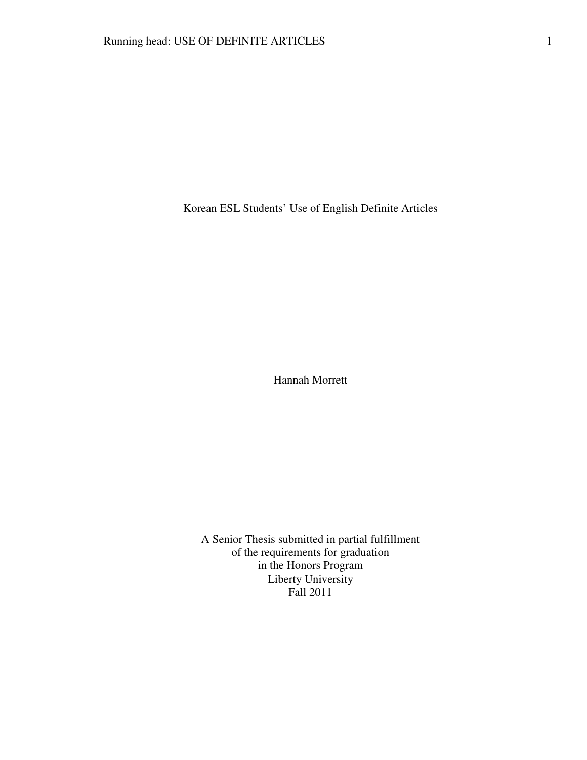Korean ESL Students' Use of English Definite Articles

Hannah Morrett

A Senior Thesis submitted in partial fulfillment of the requirements for graduation in the Honors Program Liberty University Fall 2011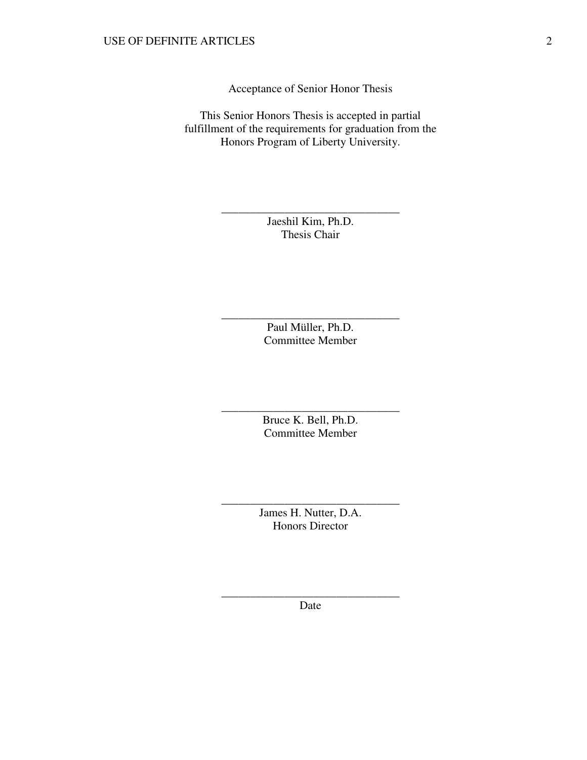Acceptance of Senior Honor Thesis

This Senior Honors Thesis is accepted in partial fulfillment of the requirements for graduation from the Honors Program of Liberty University.

> Jaeshil Kim, Ph.D. Thesis Chair

\_\_\_\_\_\_\_\_\_\_\_\_\_\_\_\_\_\_\_\_\_\_\_\_\_\_\_\_\_\_\_

Paul Müller, Ph.D. Committee Member

\_\_\_\_\_\_\_\_\_\_\_\_\_\_\_\_\_\_\_\_\_\_\_\_\_\_\_\_\_\_\_

Bruce K. Bell, Ph.D. Committee Member

\_\_\_\_\_\_\_\_\_\_\_\_\_\_\_\_\_\_\_\_\_\_\_\_\_\_\_\_\_\_\_

James H. Nutter, D.A. Honors Director

\_\_\_\_\_\_\_\_\_\_\_\_\_\_\_\_\_\_\_\_\_\_\_\_\_\_\_\_\_\_\_

\_\_\_\_\_\_\_\_\_\_\_\_\_\_\_\_\_\_\_\_\_\_\_\_\_\_\_\_\_\_\_ Date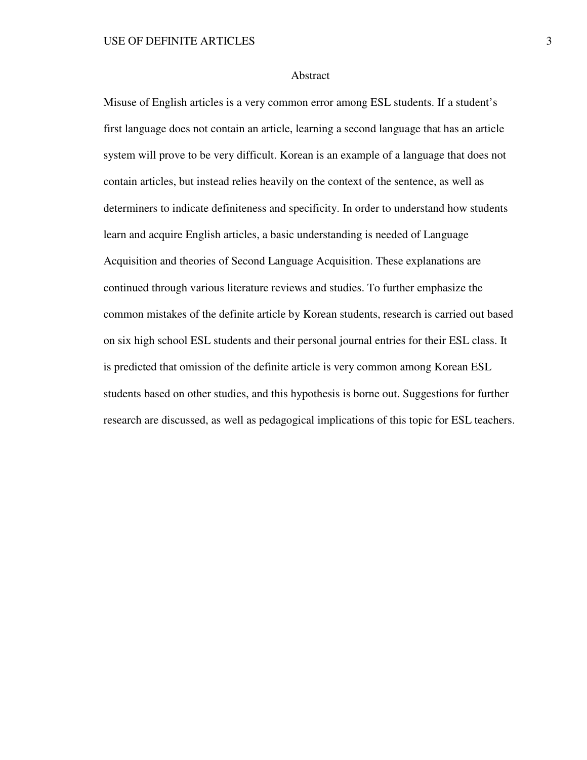### Abstract

Misuse of English articles is a very common error among ESL students. If a student's first language does not contain an article, learning a second language that has an article system will prove to be very difficult. Korean is an example of a language that does not contain articles, but instead relies heavily on the context of the sentence, as well as determiners to indicate definiteness and specificity. In order to understand how students learn and acquire English articles, a basic understanding is needed of Language Acquisition and theories of Second Language Acquisition. These explanations are continued through various literature reviews and studies. To further emphasize the common mistakes of the definite article by Korean students, research is carried out based on six high school ESL students and their personal journal entries for their ESL class. It is predicted that omission of the definite article is very common among Korean ESL students based on other studies, and this hypothesis is borne out. Suggestions for further research are discussed, as well as pedagogical implications of this topic for ESL teachers.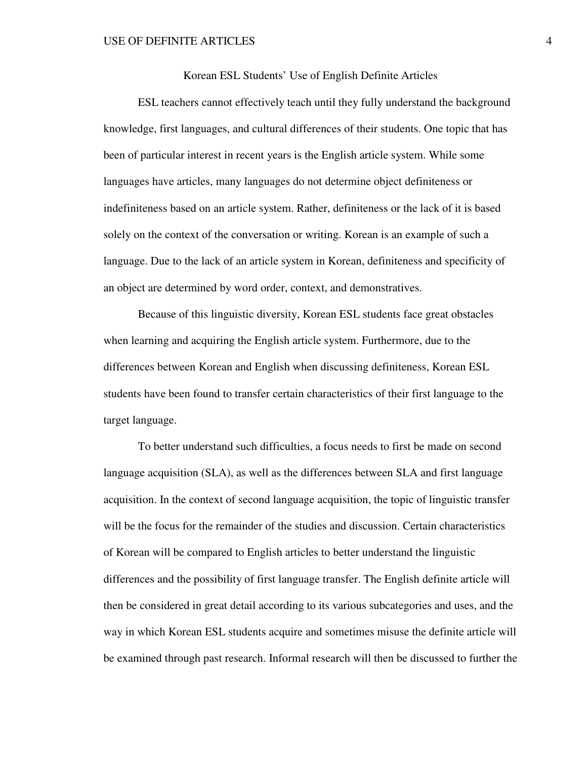Korean ESL Students' Use of English Definite Articles

ESL teachers cannot effectively teach until they fully understand the background knowledge, first languages, and cultural differences of their students. One topic that has been of particular interest in recent years is the English article system. While some languages have articles, many languages do not determine object definiteness or indefiniteness based on an article system. Rather, definiteness or the lack of it is based solely on the context of the conversation or writing. Korean is an example of such a language. Due to the lack of an article system in Korean, definiteness and specificity of an object are determined by word order, context, and demonstratives.

 Because of this linguistic diversity, Korean ESL students face great obstacles when learning and acquiring the English article system. Furthermore, due to the differences between Korean and English when discussing definiteness, Korean ESL students have been found to transfer certain characteristics of their first language to the target language.

To better understand such difficulties, a focus needs to first be made on second language acquisition (SLA), as well as the differences between SLA and first language acquisition. In the context of second language acquisition, the topic of linguistic transfer will be the focus for the remainder of the studies and discussion. Certain characteristics of Korean will be compared to English articles to better understand the linguistic differences and the possibility of first language transfer. The English definite article will then be considered in great detail according to its various subcategories and uses, and the way in which Korean ESL students acquire and sometimes misuse the definite article will be examined through past research. Informal research will then be discussed to further the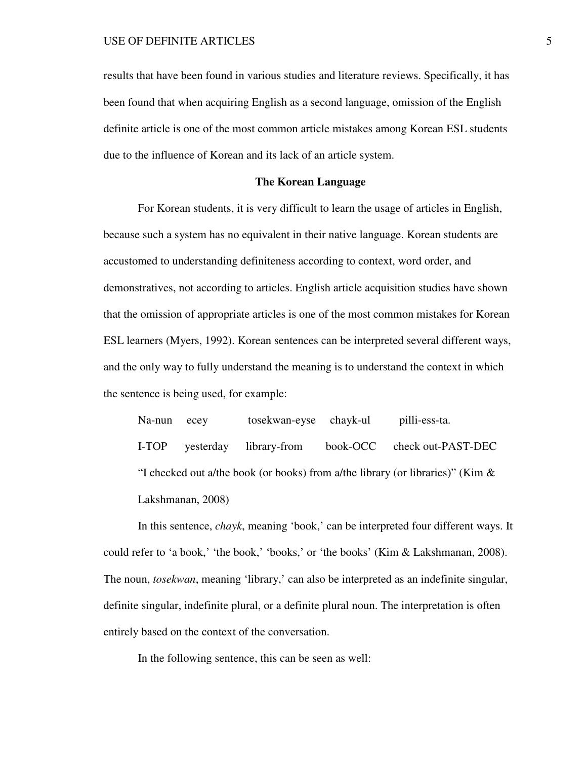results that have been found in various studies and literature reviews. Specifically, it has been found that when acquiring English as a second language, omission of the English definite article is one of the most common article mistakes among Korean ESL students due to the influence of Korean and its lack of an article system.

# **The Korean Language**

 For Korean students, it is very difficult to learn the usage of articles in English, because such a system has no equivalent in their native language. Korean students are accustomed to understanding definiteness according to context, word order, and demonstratives, not according to articles. English article acquisition studies have shown that the omission of appropriate articles is one of the most common mistakes for Korean ESL learners (Myers, 1992). Korean sentences can be interpreted several different ways, and the only way to fully understand the meaning is to understand the context in which the sentence is being used, for example:

Na-nun ecey tosekwan-eyse chayk-ul pilli-ess-ta. I-TOP yesterday library-from book-OCC check out-PAST-DEC "I checked out a/the book (or books) from a/the library (or libraries)" (Kim & Lakshmanan, 2008)

 In this sentence, *chayk*, meaning 'book,' can be interpreted four different ways. It could refer to 'a book,' 'the book,' 'books,' or 'the books' (Kim & Lakshmanan, 2008). The noun, *tosekwan*, meaning 'library,' can also be interpreted as an indefinite singular, definite singular, indefinite plural, or a definite plural noun. The interpretation is often entirely based on the context of the conversation.

In the following sentence, this can be seen as well: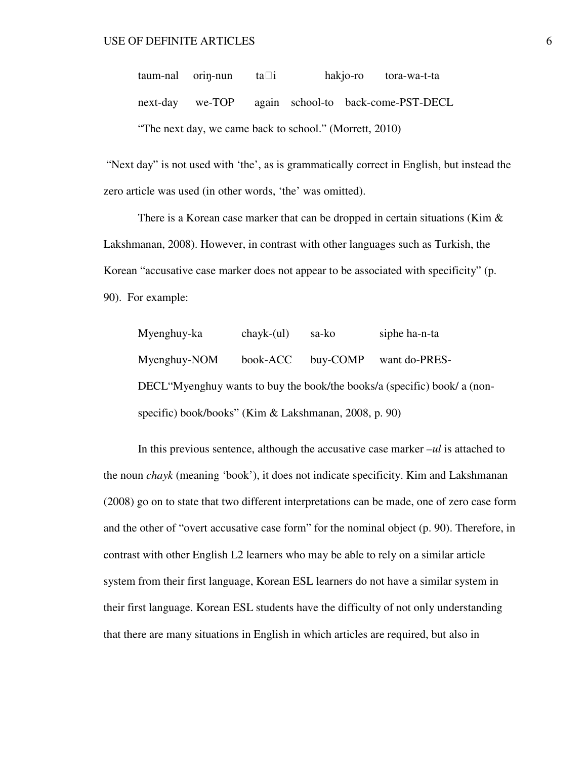$t$ aum-nal orin-nun  $ta$ i hakjo-ro tora-wa-t-ta next-day we-TOP again school-to back-come-PST-DECL "The next day, we came back to school." (Morrett, 2010)

 "Next day" is not used with 'the', as is grammatically correct in English, but instead the zero article was used (in other words, 'the' was omitted).

There is a Korean case marker that can be dropped in certain situations (Kim  $\&$ Lakshmanan, 2008). However, in contrast with other languages such as Turkish, the Korean "accusative case marker does not appear to be associated with specificity" (p. 90). For example:

Myenghuy-ka chayk-(ul) sa-ko siphe ha-n-ta Myenghuy-NOM book-ACC buy-COMP want do-PRES-DECL"Myenghuy wants to buy the book/the books/a (specific) book/ a (nonspecific) book/books" (Kim & Lakshmanan, 2008, p. 90)

 In this previous sentence, although the accusative case marker *–ul* is attached to the noun *chayk* (meaning 'book'), it does not indicate specificity. Kim and Lakshmanan (2008) go on to state that two different interpretations can be made, one of zero case form and the other of "overt accusative case form" for the nominal object (p. 90). Therefore, in contrast with other English L2 learners who may be able to rely on a similar article system from their first language, Korean ESL learners do not have a similar system in their first language. Korean ESL students have the difficulty of not only understanding that there are many situations in English in which articles are required, but also in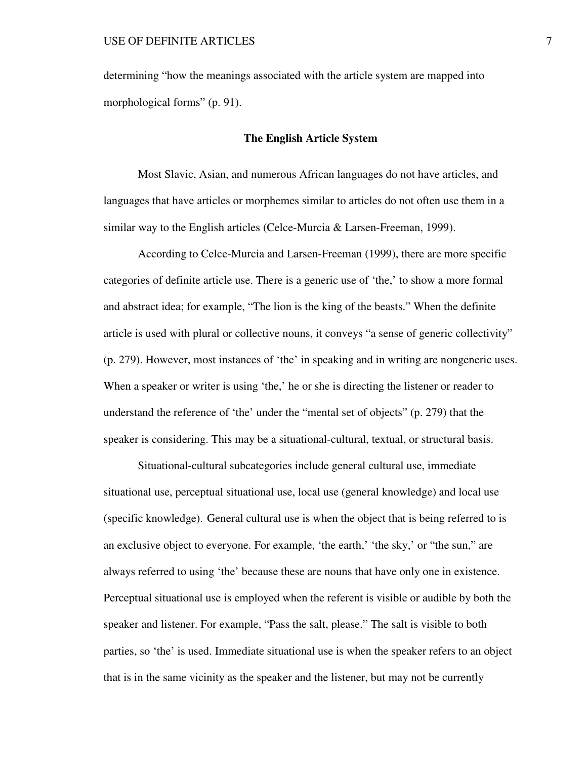determining "how the meanings associated with the article system are mapped into morphological forms" (p. 91).

## **The English Article System**

Most Slavic, Asian, and numerous African languages do not have articles, and languages that have articles or morphemes similar to articles do not often use them in a similar way to the English articles (Celce-Murcia & Larsen-Freeman, 1999).

 According to Celce-Murcia and Larsen-Freeman (1999), there are more specific categories of definite article use. There is a generic use of 'the,' to show a more formal and abstract idea; for example, "The lion is the king of the beasts." When the definite article is used with plural or collective nouns, it conveys "a sense of generic collectivity" (p. 279). However, most instances of 'the' in speaking and in writing are nongeneric uses. When a speaker or writer is using 'the,' he or she is directing the listener or reader to understand the reference of 'the' under the "mental set of objects" (p. 279) that the speaker is considering. This may be a situational-cultural, textual, or structural basis.

 Situational-cultural subcategories include general cultural use, immediate situational use, perceptual situational use, local use (general knowledge) and local use (specific knowledge). General cultural use is when the object that is being referred to is an exclusive object to everyone. For example, 'the earth,' 'the sky,' or "the sun," are always referred to using 'the' because these are nouns that have only one in existence. Perceptual situational use is employed when the referent is visible or audible by both the speaker and listener. For example, "Pass the salt, please." The salt is visible to both parties, so 'the' is used. Immediate situational use is when the speaker refers to an object that is in the same vicinity as the speaker and the listener, but may not be currently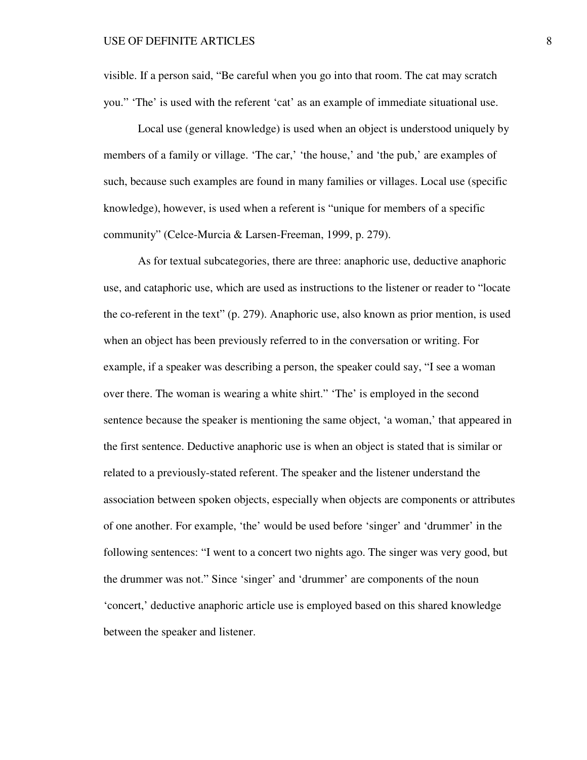visible. If a person said, "Be careful when you go into that room. The cat may scratch you." 'The' is used with the referent 'cat' as an example of immediate situational use.

Local use (general knowledge) is used when an object is understood uniquely by members of a family or village. 'The car,' 'the house,' and 'the pub,' are examples of such, because such examples are found in many families or villages. Local use (specific knowledge), however, is used when a referent is "unique for members of a specific community" (Celce-Murcia & Larsen-Freeman, 1999, p. 279).

As for textual subcategories, there are three: anaphoric use, deductive anaphoric use, and cataphoric use, which are used as instructions to the listener or reader to "locate the co-referent in the text" (p. 279). Anaphoric use, also known as prior mention, is used when an object has been previously referred to in the conversation or writing. For example, if a speaker was describing a person, the speaker could say, "I see a woman over there. The woman is wearing a white shirt." 'The' is employed in the second sentence because the speaker is mentioning the same object, 'a woman,' that appeared in the first sentence. Deductive anaphoric use is when an object is stated that is similar or related to a previously-stated referent. The speaker and the listener understand the association between spoken objects, especially when objects are components or attributes of one another. For example, 'the' would be used before 'singer' and 'drummer' in the following sentences: "I went to a concert two nights ago. The singer was very good, but the drummer was not." Since 'singer' and 'drummer' are components of the noun 'concert,' deductive anaphoric article use is employed based on this shared knowledge between the speaker and listener.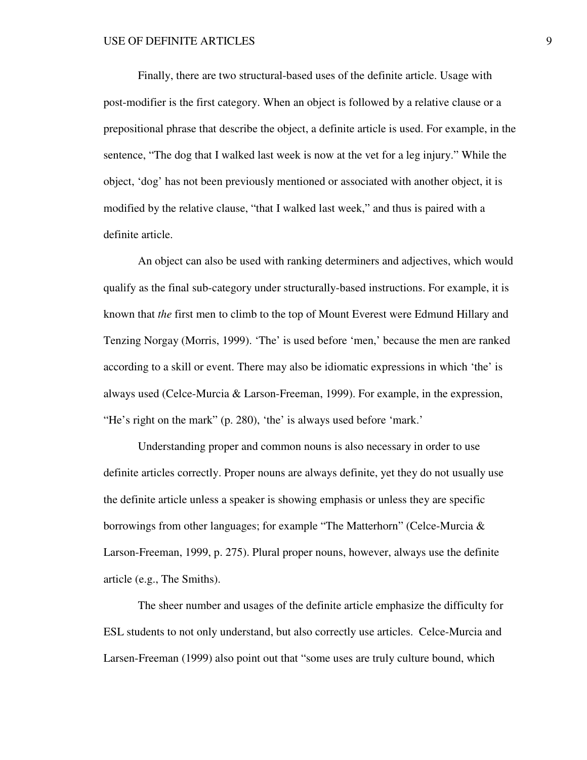Finally, there are two structural-based uses of the definite article. Usage with post-modifier is the first category. When an object is followed by a relative clause or a prepositional phrase that describe the object, a definite article is used. For example, in the sentence, "The dog that I walked last week is now at the vet for a leg injury." While the object, 'dog' has not been previously mentioned or associated with another object, it is modified by the relative clause, "that I walked last week," and thus is paired with a definite article.

An object can also be used with ranking determiners and adjectives, which would qualify as the final sub-category under structurally-based instructions. For example, it is known that *the* first men to climb to the top of Mount Everest were Edmund Hillary and Tenzing Norgay (Morris, 1999). 'The' is used before 'men,' because the men are ranked according to a skill or event. There may also be idiomatic expressions in which 'the' is always used (Celce-Murcia & Larson-Freeman, 1999). For example, in the expression, "He's right on the mark" (p. 280), 'the' is always used before 'mark.'

Understanding proper and common nouns is also necessary in order to use definite articles correctly. Proper nouns are always definite, yet they do not usually use the definite article unless a speaker is showing emphasis or unless they are specific borrowings from other languages; for example "The Matterhorn" (Celce-Murcia & Larson-Freeman, 1999, p. 275). Plural proper nouns, however, always use the definite article (e.g., The Smiths).

The sheer number and usages of the definite article emphasize the difficulty for ESL students to not only understand, but also correctly use articles. Celce-Murcia and Larsen-Freeman (1999) also point out that "some uses are truly culture bound, which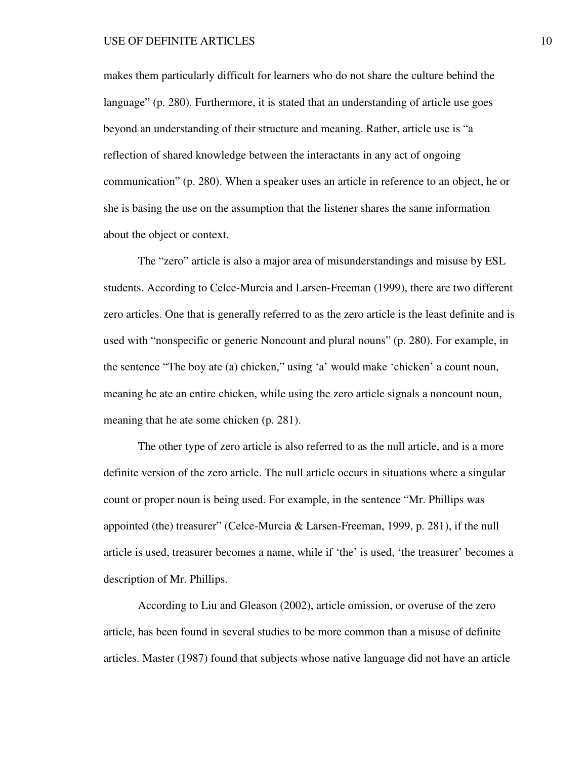makes them particularly difficult for learners who do not share the culture behind the language" (p. 280). Furthermore, it is stated that an understanding of article use goes beyond an understanding of their structure and meaning. Rather, article use is "a reflection of shared knowledge between the interactants in any act of ongoing communication" (p. 280). When a speaker uses an article in reference to an object, he or she is basing the use on the assumption that the listener shares the same information about the object or context.

The "zero" article is also a major area of misunderstandings and misuse by ESL students. According to Celce-Murcia and Larsen-Freeman (1999), there are two different zero articles. One that is generally referred to as the zero article is the least definite and is used with "nonspecific or generic Noncount and plural nouns" (p. 280). For example, in the sentence "The boy ate (a) chicken," using 'a' would make 'chicken' a count noun, meaning he ate an entire chicken, while using the zero article signals a noncount noun, meaning that he ate some chicken (p. 281).

The other type of zero article is also referred to as the null article, and is a more definite version of the zero article. The null article occurs in situations where a singular count or proper noun is being used. For example, in the sentence "Mr. Phillips was appointed (the) treasurer" (Celce-Murcia & Larsen-Freeman, 1999, p. 281), if the null article is used, treasurer becomes a name, while if 'the' is used, 'the treasurer' becomes a description of Mr. Phillips.

According to Liu and Gleason (2002), article omission, or overuse of the zero article, has been found in several studies to be more common than a misuse of definite articles. Master (1987) found that subjects whose native language did not have an article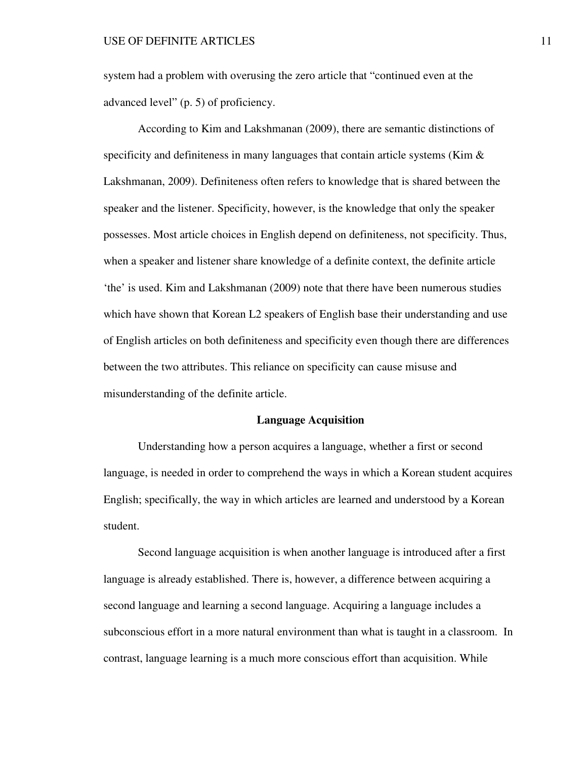system had a problem with overusing the zero article that "continued even at the advanced level" (p. 5) of proficiency.

According to Kim and Lakshmanan (2009), there are semantic distinctions of specificity and definiteness in many languages that contain article systems (Kim  $\&$ Lakshmanan, 2009). Definiteness often refers to knowledge that is shared between the speaker and the listener. Specificity, however, is the knowledge that only the speaker possesses. Most article choices in English depend on definiteness, not specificity. Thus, when a speaker and listener share knowledge of a definite context, the definite article 'the' is used. Kim and Lakshmanan (2009) note that there have been numerous studies which have shown that Korean L2 speakers of English base their understanding and use of English articles on both definiteness and specificity even though there are differences between the two attributes. This reliance on specificity can cause misuse and misunderstanding of the definite article.

## **Language Acquisition**

Understanding how a person acquires a language, whether a first or second language, is needed in order to comprehend the ways in which a Korean student acquires English; specifically, the way in which articles are learned and understood by a Korean student.

Second language acquisition is when another language is introduced after a first language is already established. There is, however, a difference between acquiring a second language and learning a second language. Acquiring a language includes a subconscious effort in a more natural environment than what is taught in a classroom. In contrast, language learning is a much more conscious effort than acquisition. While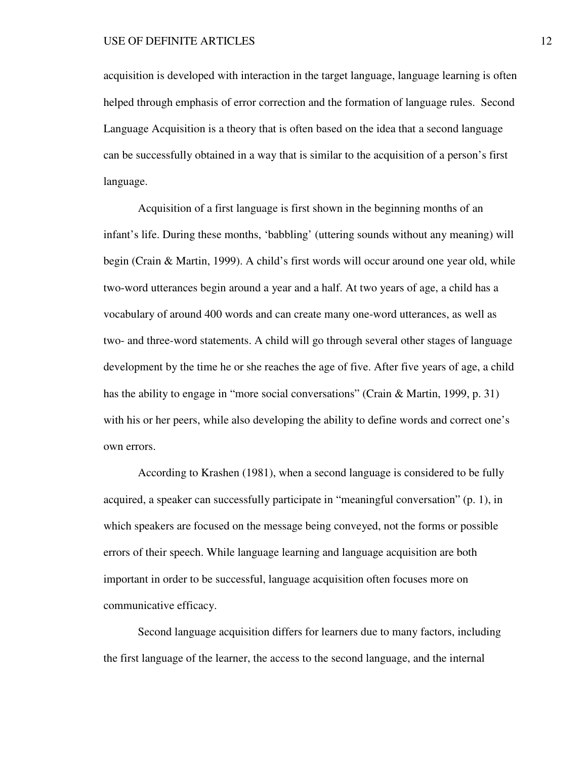acquisition is developed with interaction in the target language, language learning is often helped through emphasis of error correction and the formation of language rules. Second Language Acquisition is a theory that is often based on the idea that a second language can be successfully obtained in a way that is similar to the acquisition of a person's first language.

Acquisition of a first language is first shown in the beginning months of an infant's life. During these months, 'babbling' (uttering sounds without any meaning) will begin (Crain & Martin, 1999). A child's first words will occur around one year old, while two-word utterances begin around a year and a half. At two years of age, a child has a vocabulary of around 400 words and can create many one-word utterances, as well as two- and three-word statements. A child will go through several other stages of language development by the time he or she reaches the age of five. After five years of age, a child has the ability to engage in "more social conversations" (Crain & Martin, 1999, p. 31) with his or her peers, while also developing the ability to define words and correct one's own errors.

According to Krashen (1981), when a second language is considered to be fully acquired, a speaker can successfully participate in "meaningful conversation" (p. 1), in which speakers are focused on the message being conveyed, not the forms or possible errors of their speech. While language learning and language acquisition are both important in order to be successful, language acquisition often focuses more on communicative efficacy.

Second language acquisition differs for learners due to many factors, including the first language of the learner, the access to the second language, and the internal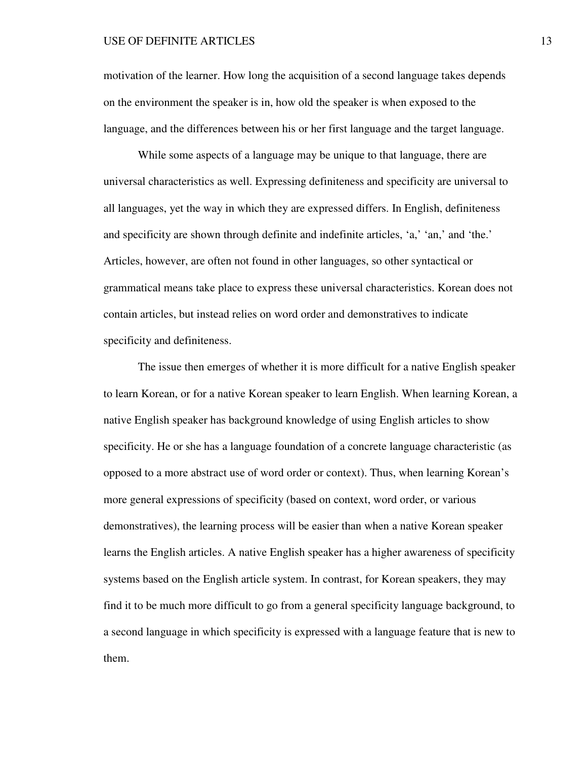motivation of the learner. How long the acquisition of a second language takes depends on the environment the speaker is in, how old the speaker is when exposed to the language, and the differences between his or her first language and the target language.

While some aspects of a language may be unique to that language, there are universal characteristics as well. Expressing definiteness and specificity are universal to all languages, yet the way in which they are expressed differs. In English, definiteness and specificity are shown through definite and indefinite articles, 'a,' 'an,' and 'the.' Articles, however, are often not found in other languages, so other syntactical or grammatical means take place to express these universal characteristics. Korean does not contain articles, but instead relies on word order and demonstratives to indicate specificity and definiteness.

The issue then emerges of whether it is more difficult for a native English speaker to learn Korean, or for a native Korean speaker to learn English. When learning Korean, a native English speaker has background knowledge of using English articles to show specificity. He or she has a language foundation of a concrete language characteristic (as opposed to a more abstract use of word order or context). Thus, when learning Korean's more general expressions of specificity (based on context, word order, or various demonstratives), the learning process will be easier than when a native Korean speaker learns the English articles. A native English speaker has a higher awareness of specificity systems based on the English article system. In contrast, for Korean speakers, they may find it to be much more difficult to go from a general specificity language background, to a second language in which specificity is expressed with a language feature that is new to them.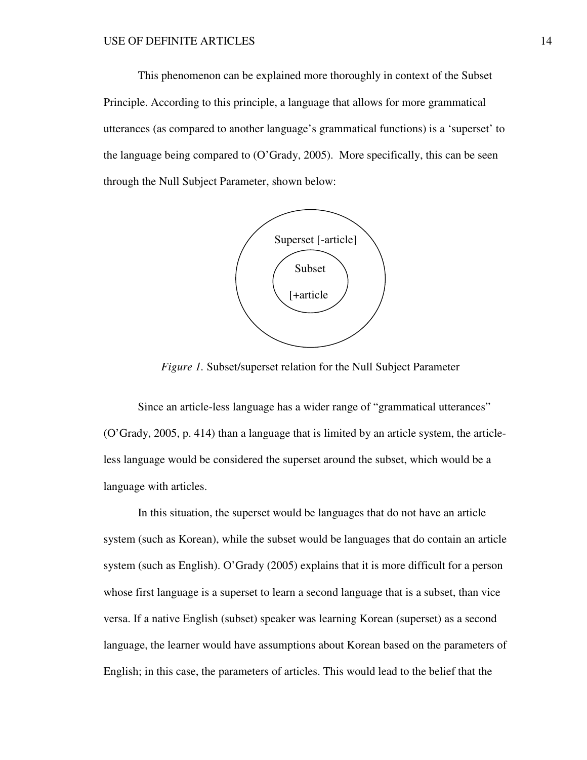This phenomenon can be explained more thoroughly in context of the Subset Principle. According to this principle, a language that allows for more grammatical utterances (as compared to another language's grammatical functions) is a 'superset' to the language being compared to (O'Grady, 2005). More specifically, this can be seen through the Null Subject Parameter, shown below:



*Figure 1.* Subset/superset relation for the Null Subject Parameter

Since an article-less language has a wider range of "grammatical utterances" (O'Grady, 2005, p. 414) than a language that is limited by an article system, the articleless language would be considered the superset around the subset, which would be a language with articles.

In this situation, the superset would be languages that do not have an article system (such as Korean), while the subset would be languages that do contain an article system (such as English). O'Grady (2005) explains that it is more difficult for a person whose first language is a superset to learn a second language that is a subset, than vice versa. If a native English (subset) speaker was learning Korean (superset) as a second language, the learner would have assumptions about Korean based on the parameters of English; in this case, the parameters of articles. This would lead to the belief that the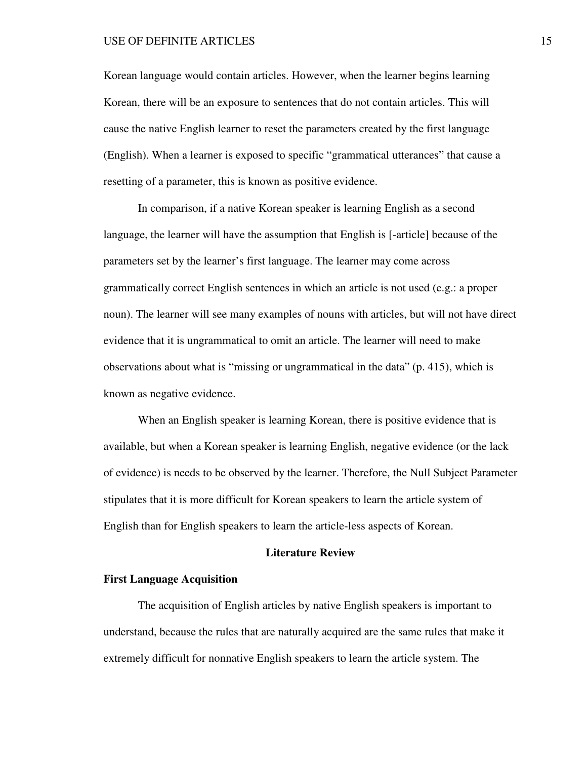Korean language would contain articles. However, when the learner begins learning Korean, there will be an exposure to sentences that do not contain articles. This will cause the native English learner to reset the parameters created by the first language (English). When a learner is exposed to specific "grammatical utterances" that cause a resetting of a parameter, this is known as positive evidence.

In comparison, if a native Korean speaker is learning English as a second language, the learner will have the assumption that English is [-article] because of the parameters set by the learner's first language. The learner may come across grammatically correct English sentences in which an article is not used (e.g.: a proper noun). The learner will see many examples of nouns with articles, but will not have direct evidence that it is ungrammatical to omit an article. The learner will need to make observations about what is "missing or ungrammatical in the data" (p. 415), which is known as negative evidence.

When an English speaker is learning Korean, there is positive evidence that is available, but when a Korean speaker is learning English, negative evidence (or the lack of evidence) is needs to be observed by the learner. Therefore, the Null Subject Parameter stipulates that it is more difficult for Korean speakers to learn the article system of English than for English speakers to learn the article-less aspects of Korean.

# **Literature Review**

## **First Language Acquisition**

The acquisition of English articles by native English speakers is important to understand, because the rules that are naturally acquired are the same rules that make it extremely difficult for nonnative English speakers to learn the article system. The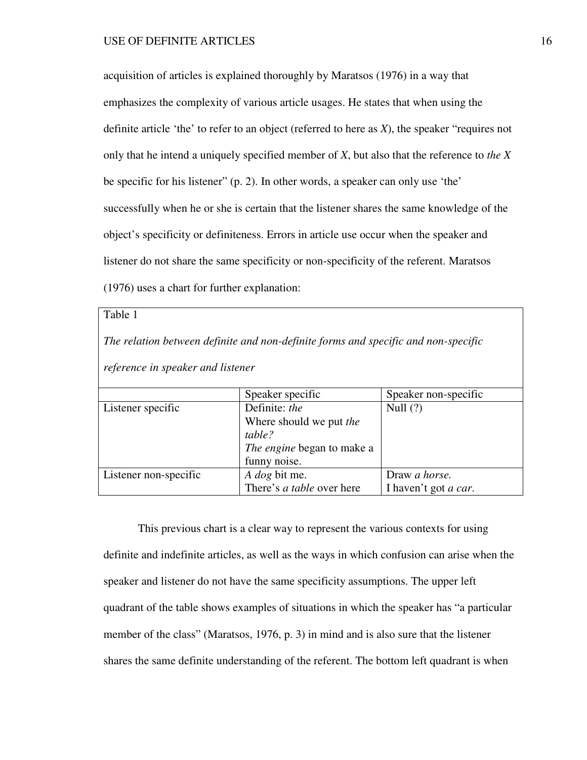acquisition of articles is explained thoroughly by Maratsos (1976) in a way that emphasizes the complexity of various article usages. He states that when using the definite article 'the' to refer to an object (referred to here as *X*), the speaker "requires not only that he intend a uniquely specified member of *X*, but also that the reference to *the X* be specific for his listener" (p. 2). In other words, a speaker can only use 'the' successfully when he or she is certain that the listener shares the same knowledge of the object's specificity or definiteness. Errors in article use occur when the speaker and listener do not share the same specificity or non-specificity of the referent. Maratsos (1976) uses a chart for further explanation:

# Table 1

*The relation between definite and non-definite forms and specific and non-specific reference in speaker and listener*

|                       | Speaker specific                 | Speaker non-specific         |
|-----------------------|----------------------------------|------------------------------|
| Listener specific     | Definite: the                    | Null $(?)$                   |
|                       | Where should we put the          |                              |
|                       | table?                           |                              |
|                       | The engine began to make a       |                              |
|                       | funny noise.                     |                              |
| Listener non-specific | A dog bit me.                    | Draw a horse.                |
|                       | There's <i>a table</i> over here | I haven't got <i>a car</i> . |

This previous chart is a clear way to represent the various contexts for using definite and indefinite articles, as well as the ways in which confusion can arise when the speaker and listener do not have the same specificity assumptions. The upper left quadrant of the table shows examples of situations in which the speaker has "a particular member of the class" (Maratsos, 1976, p. 3) in mind and is also sure that the listener shares the same definite understanding of the referent. The bottom left quadrant is when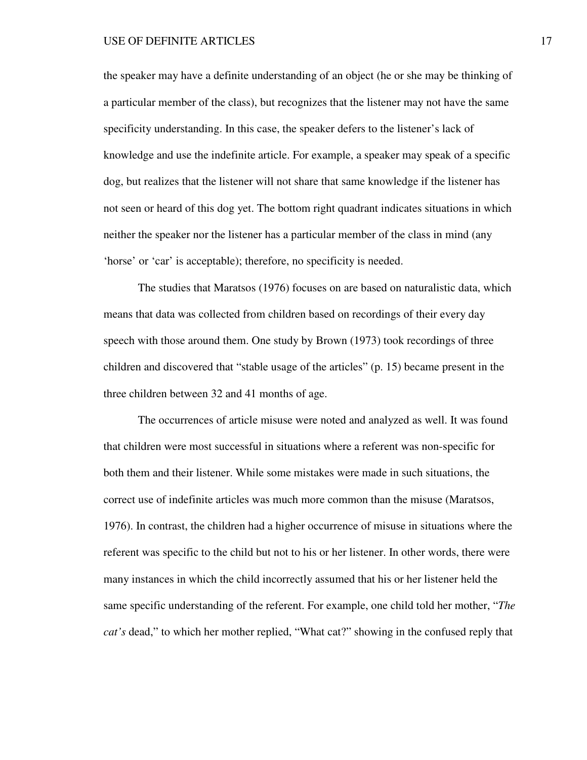the speaker may have a definite understanding of an object (he or she may be thinking of a particular member of the class), but recognizes that the listener may not have the same specificity understanding. In this case, the speaker defers to the listener's lack of knowledge and use the indefinite article. For example, a speaker may speak of a specific dog, but realizes that the listener will not share that same knowledge if the listener has not seen or heard of this dog yet. The bottom right quadrant indicates situations in which neither the speaker nor the listener has a particular member of the class in mind (any 'horse' or 'car' is acceptable); therefore, no specificity is needed.

The studies that Maratsos (1976) focuses on are based on naturalistic data, which means that data was collected from children based on recordings of their every day speech with those around them. One study by Brown (1973) took recordings of three children and discovered that "stable usage of the articles" (p. 15) became present in the three children between 32 and 41 months of age.

The occurrences of article misuse were noted and analyzed as well. It was found that children were most successful in situations where a referent was non-specific for both them and their listener. While some mistakes were made in such situations, the correct use of indefinite articles was much more common than the misuse (Maratsos, 1976). In contrast, the children had a higher occurrence of misuse in situations where the referent was specific to the child but not to his or her listener. In other words, there were many instances in which the child incorrectly assumed that his or her listener held the same specific understanding of the referent. For example, one child told her mother, "*The cat's* dead," to which her mother replied, "What cat?" showing in the confused reply that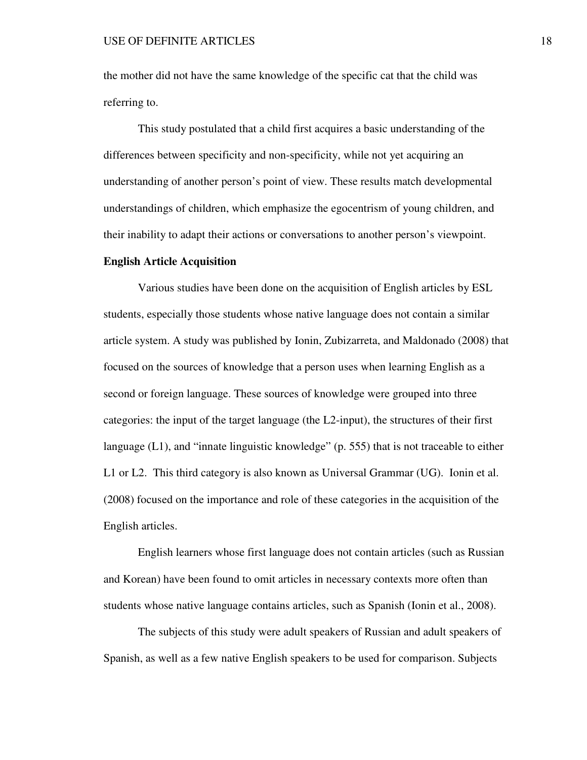the mother did not have the same knowledge of the specific cat that the child was referring to.

This study postulated that a child first acquires a basic understanding of the differences between specificity and non-specificity, while not yet acquiring an understanding of another person's point of view. These results match developmental understandings of children, which emphasize the egocentrism of young children, and their inability to adapt their actions or conversations to another person's viewpoint.

## **English Article Acquisition**

Various studies have been done on the acquisition of English articles by ESL students, especially those students whose native language does not contain a similar article system. A study was published by Ionin, Zubizarreta, and Maldonado (2008) that focused on the sources of knowledge that a person uses when learning English as a second or foreign language. These sources of knowledge were grouped into three categories: the input of the target language (the L2-input), the structures of their first language (L1), and "innate linguistic knowledge" (p. 555) that is not traceable to either L1 or L2. This third category is also known as Universal Grammar (UG). Ionin et al. (2008) focused on the importance and role of these categories in the acquisition of the English articles.

 English learners whose first language does not contain articles (such as Russian and Korean) have been found to omit articles in necessary contexts more often than students whose native language contains articles, such as Spanish (Ionin et al., 2008).

 The subjects of this study were adult speakers of Russian and adult speakers of Spanish, as well as a few native English speakers to be used for comparison. Subjects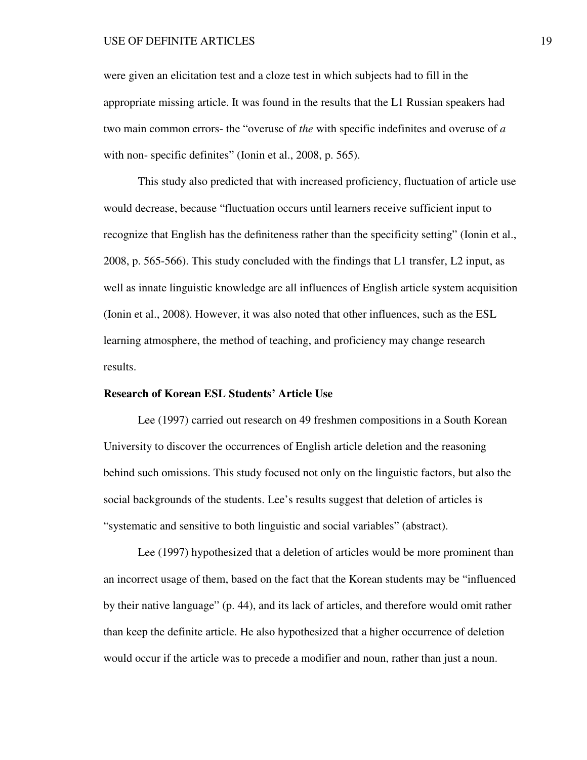were given an elicitation test and a cloze test in which subjects had to fill in the appropriate missing article. It was found in the results that the L1 Russian speakers had two main common errors- the "overuse of *the* with specific indefinites and overuse of *a* with non-specific definites" (Ionin et al., 2008, p. 565).

 This study also predicted that with increased proficiency, fluctuation of article use would decrease, because "fluctuation occurs until learners receive sufficient input to recognize that English has the definiteness rather than the specificity setting" (Ionin et al., 2008, p. 565-566). This study concluded with the findings that L1 transfer, L2 input, as well as innate linguistic knowledge are all influences of English article system acquisition (Ionin et al., 2008). However, it was also noted that other influences, such as the ESL learning atmosphere, the method of teaching, and proficiency may change research results.

# **Research of Korean ESL Students' Article Use**

Lee (1997) carried out research on 49 freshmen compositions in a South Korean University to discover the occurrences of English article deletion and the reasoning behind such omissions. This study focused not only on the linguistic factors, but also the social backgrounds of the students. Lee's results suggest that deletion of articles is "systematic and sensitive to both linguistic and social variables" (abstract).

Lee (1997) hypothesized that a deletion of articles would be more prominent than an incorrect usage of them, based on the fact that the Korean students may be "influenced by their native language" (p. 44), and its lack of articles, and therefore would omit rather than keep the definite article. He also hypothesized that a higher occurrence of deletion would occur if the article was to precede a modifier and noun, rather than just a noun.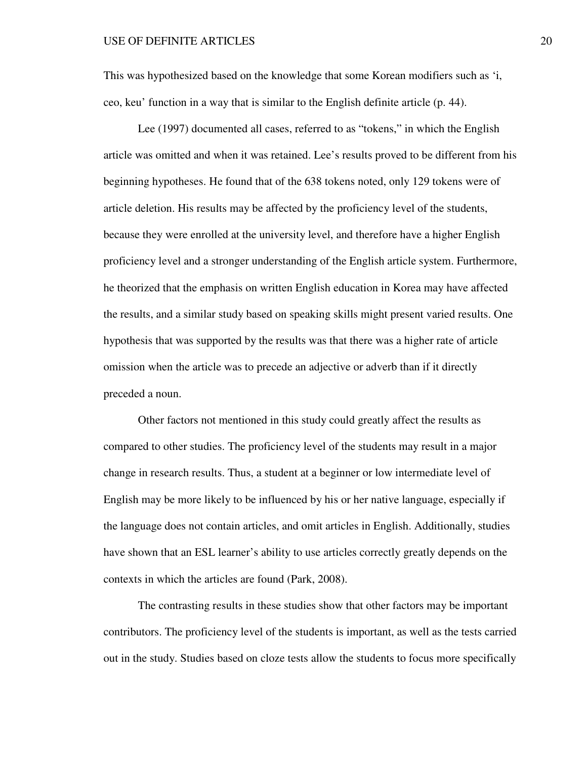This was hypothesized based on the knowledge that some Korean modifiers such as 'i, ceo, keu' function in a way that is similar to the English definite article (p. 44).

Lee (1997) documented all cases, referred to as "tokens," in which the English article was omitted and when it was retained. Lee's results proved to be different from his beginning hypotheses. He found that of the 638 tokens noted, only 129 tokens were of article deletion. His results may be affected by the proficiency level of the students, because they were enrolled at the university level, and therefore have a higher English proficiency level and a stronger understanding of the English article system. Furthermore, he theorized that the emphasis on written English education in Korea may have affected the results, and a similar study based on speaking skills might present varied results. One hypothesis that was supported by the results was that there was a higher rate of article omission when the article was to precede an adjective or adverb than if it directly preceded a noun.

Other factors not mentioned in this study could greatly affect the results as compared to other studies. The proficiency level of the students may result in a major change in research results. Thus, a student at a beginner or low intermediate level of English may be more likely to be influenced by his or her native language, especially if the language does not contain articles, and omit articles in English. Additionally, studies have shown that an ESL learner's ability to use articles correctly greatly depends on the contexts in which the articles are found (Park, 2008).

The contrasting results in these studies show that other factors may be important contributors. The proficiency level of the students is important, as well as the tests carried out in the study. Studies based on cloze tests allow the students to focus more specifically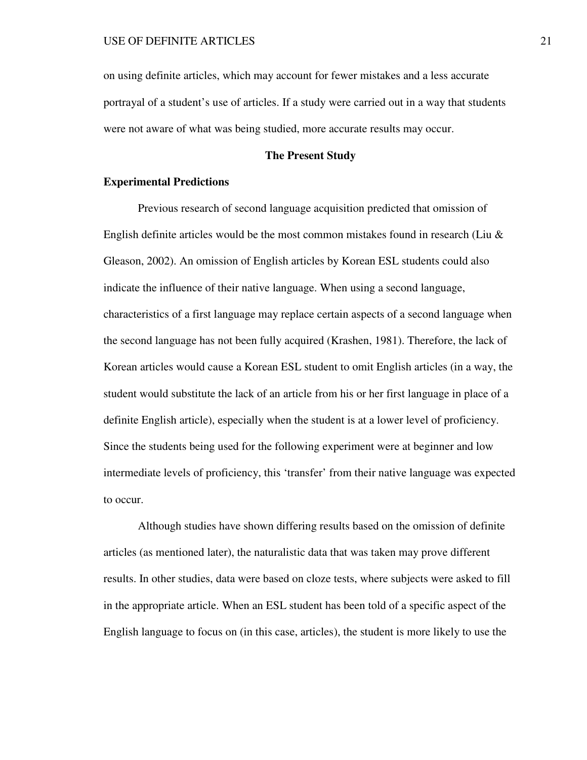on using definite articles, which may account for fewer mistakes and a less accurate portrayal of a student's use of articles. If a study were carried out in a way that students were not aware of what was being studied, more accurate results may occur.

# **The Present Study**

# **Experimental Predictions**

Previous research of second language acquisition predicted that omission of English definite articles would be the most common mistakes found in research (Liu  $\&$ Gleason, 2002). An omission of English articles by Korean ESL students could also indicate the influence of their native language. When using a second language, characteristics of a first language may replace certain aspects of a second language when the second language has not been fully acquired (Krashen, 1981). Therefore, the lack of Korean articles would cause a Korean ESL student to omit English articles (in a way, the student would substitute the lack of an article from his or her first language in place of a definite English article), especially when the student is at a lower level of proficiency. Since the students being used for the following experiment were at beginner and low intermediate levels of proficiency, this 'transfer' from their native language was expected to occur.

Although studies have shown differing results based on the omission of definite articles (as mentioned later), the naturalistic data that was taken may prove different results. In other studies, data were based on cloze tests, where subjects were asked to fill in the appropriate article. When an ESL student has been told of a specific aspect of the English language to focus on (in this case, articles), the student is more likely to use the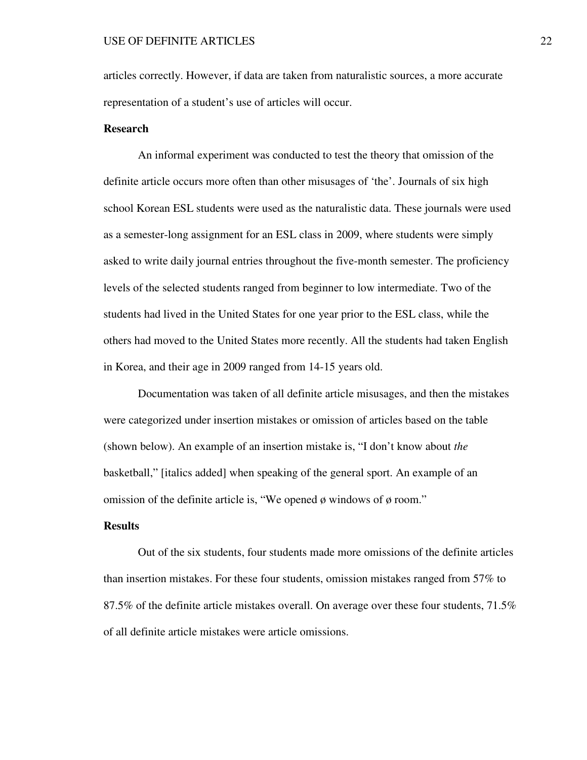articles correctly. However, if data are taken from naturalistic sources, a more accurate representation of a student's use of articles will occur.

# **Research**

 An informal experiment was conducted to test the theory that omission of the definite article occurs more often than other misusages of 'the'. Journals of six high school Korean ESL students were used as the naturalistic data. These journals were used as a semester-long assignment for an ESL class in 2009, where students were simply asked to write daily journal entries throughout the five-month semester. The proficiency levels of the selected students ranged from beginner to low intermediate. Two of the students had lived in the United States for one year prior to the ESL class, while the others had moved to the United States more recently. All the students had taken English in Korea, and their age in 2009 ranged from 14-15 years old.

 Documentation was taken of all definite article misusages, and then the mistakes were categorized under insertion mistakes or omission of articles based on the table (shown below). An example of an insertion mistake is, "I don't know about *the* basketball," [italics added] when speaking of the general sport. An example of an omission of the definite article is, "We opened  $\phi$  windows of  $\phi$  room."

# **Results**

 Out of the six students, four students made more omissions of the definite articles than insertion mistakes. For these four students, omission mistakes ranged from 57% to 87.5% of the definite article mistakes overall. On average over these four students, 71.5% of all definite article mistakes were article omissions.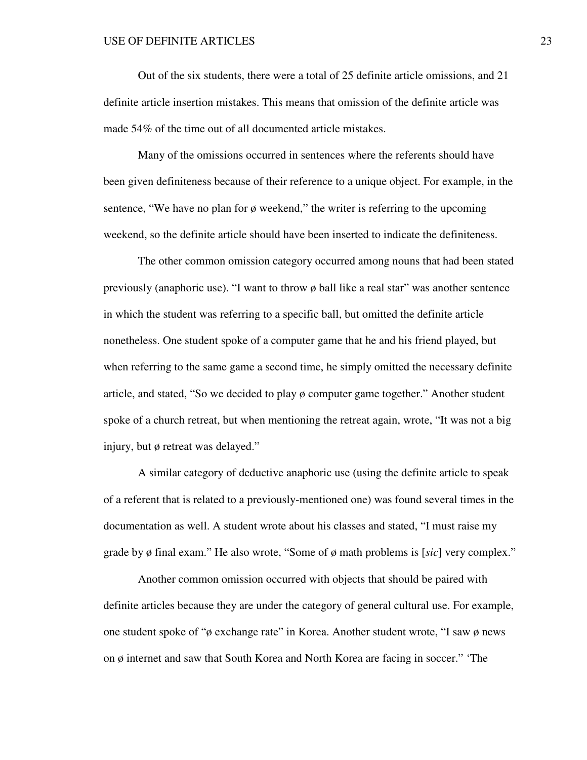Out of the six students, there were a total of 25 definite article omissions, and 21 definite article insertion mistakes. This means that omission of the definite article was made 54% of the time out of all documented article mistakes.

Many of the omissions occurred in sentences where the referents should have been given definiteness because of their reference to a unique object. For example, in the sentence, "We have no plan for ø weekend," the writer is referring to the upcoming weekend, so the definite article should have been inserted to indicate the definiteness.

The other common omission category occurred among nouns that had been stated previously (anaphoric use). "I want to throw ø ball like a real star" was another sentence in which the student was referring to a specific ball, but omitted the definite article nonetheless. One student spoke of a computer game that he and his friend played, but when referring to the same game a second time, he simply omitted the necessary definite article, and stated, "So we decided to play ø computer game together." Another student spoke of a church retreat, but when mentioning the retreat again, wrote, "It was not a big injury, but ø retreat was delayed."

A similar category of deductive anaphoric use (using the definite article to speak of a referent that is related to a previously-mentioned one) was found several times in the documentation as well. A student wrote about his classes and stated, "I must raise my grade by ø final exam." He also wrote, "Some of ø math problems is [*sic*] very complex."

 Another common omission occurred with objects that should be paired with definite articles because they are under the category of general cultural use. For example, one student spoke of "ø exchange rate" in Korea. Another student wrote, "I saw ø news on ø internet and saw that South Korea and North Korea are facing in soccer." 'The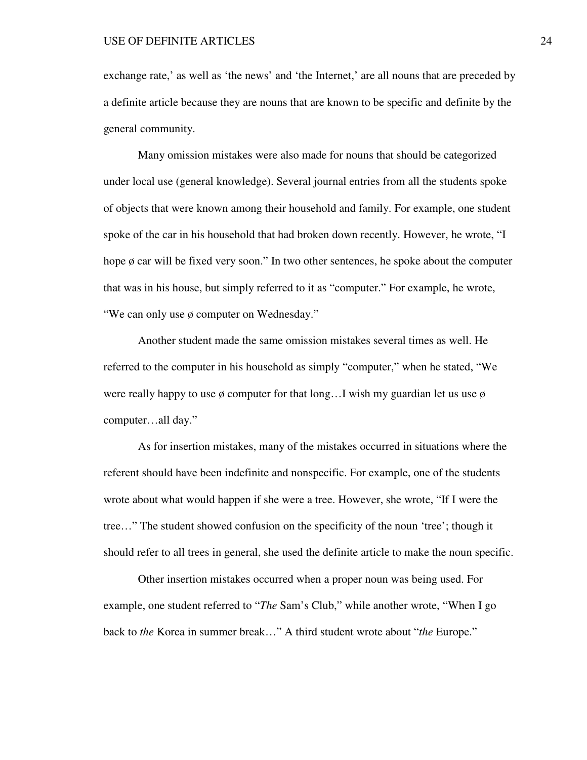exchange rate,' as well as 'the news' and 'the Internet,' are all nouns that are preceded by a definite article because they are nouns that are known to be specific and definite by the general community.

 Many omission mistakes were also made for nouns that should be categorized under local use (general knowledge). Several journal entries from all the students spoke of objects that were known among their household and family. For example, one student spoke of the car in his household that had broken down recently. However, he wrote, "I hope ø car will be fixed very soon." In two other sentences, he spoke about the computer that was in his house, but simply referred to it as "computer." For example, he wrote, "We can only use ø computer on Wednesday."

Another student made the same omission mistakes several times as well. He referred to the computer in his household as simply "computer," when he stated, "We were really happy to use  $\phi$  computer for that long... I wish my guardian let us use  $\phi$ computer…all day."

 As for insertion mistakes, many of the mistakes occurred in situations where the referent should have been indefinite and nonspecific. For example, one of the students wrote about what would happen if she were a tree. However, she wrote, "If I were the tree…" The student showed confusion on the specificity of the noun 'tree'; though it should refer to all trees in general, she used the definite article to make the noun specific.

 Other insertion mistakes occurred when a proper noun was being used. For example, one student referred to "*The* Sam's Club," while another wrote, "When I go back to *the* Korea in summer break…" A third student wrote about "*the* Europe."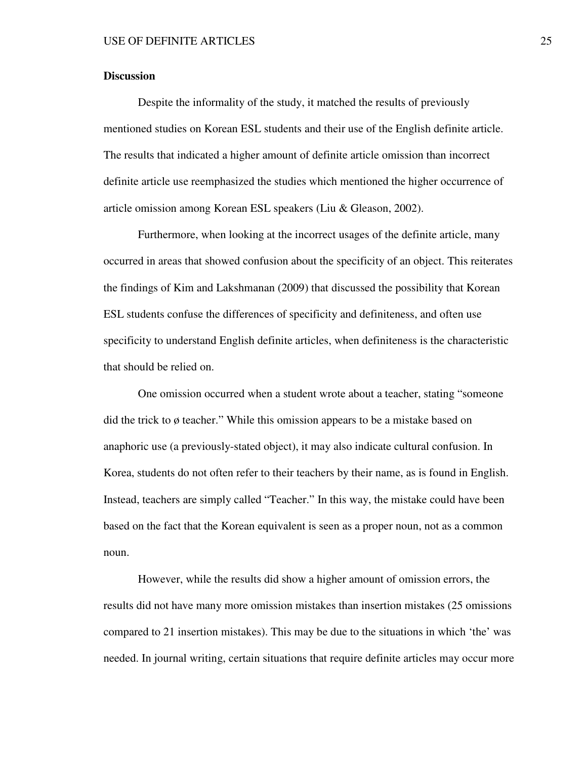# **Discussion**

 Despite the informality of the study, it matched the results of previously mentioned studies on Korean ESL students and their use of the English definite article. The results that indicated a higher amount of definite article omission than incorrect definite article use reemphasized the studies which mentioned the higher occurrence of article omission among Korean ESL speakers (Liu & Gleason, 2002).

Furthermore, when looking at the incorrect usages of the definite article, many occurred in areas that showed confusion about the specificity of an object. This reiterates the findings of Kim and Lakshmanan (2009) that discussed the possibility that Korean ESL students confuse the differences of specificity and definiteness, and often use specificity to understand English definite articles, when definiteness is the characteristic that should be relied on.

One omission occurred when a student wrote about a teacher, stating "someone did the trick to ø teacher." While this omission appears to be a mistake based on anaphoric use (a previously-stated object), it may also indicate cultural confusion. In Korea, students do not often refer to their teachers by their name, as is found in English. Instead, teachers are simply called "Teacher." In this way, the mistake could have been based on the fact that the Korean equivalent is seen as a proper noun, not as a common noun.

However, while the results did show a higher amount of omission errors, the results did not have many more omission mistakes than insertion mistakes (25 omissions compared to 21 insertion mistakes). This may be due to the situations in which 'the' was needed. In journal writing, certain situations that require definite articles may occur more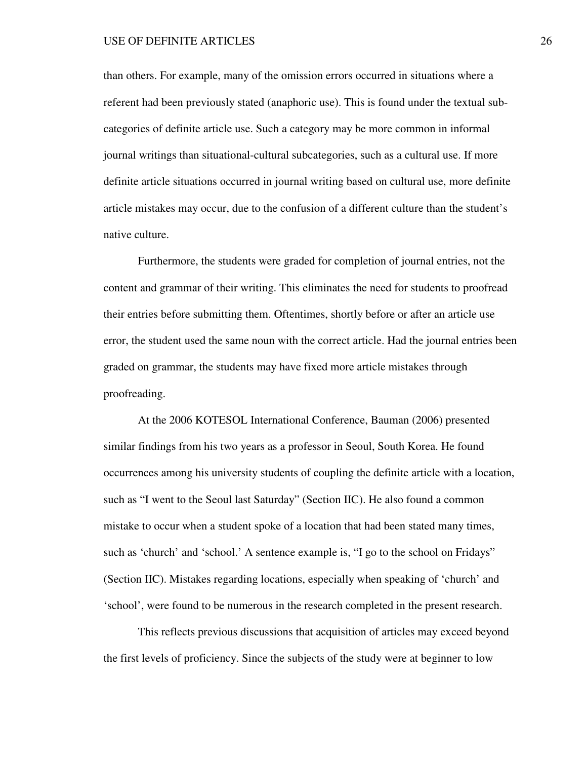than others. For example, many of the omission errors occurred in situations where a referent had been previously stated (anaphoric use). This is found under the textual subcategories of definite article use. Such a category may be more common in informal journal writings than situational-cultural subcategories, such as a cultural use. If more definite article situations occurred in journal writing based on cultural use, more definite article mistakes may occur, due to the confusion of a different culture than the student's native culture.

Furthermore, the students were graded for completion of journal entries, not the content and grammar of their writing. This eliminates the need for students to proofread their entries before submitting them. Oftentimes, shortly before or after an article use error, the student used the same noun with the correct article. Had the journal entries been graded on grammar, the students may have fixed more article mistakes through proofreading.

At the 2006 KOTESOL International Conference, Bauman (2006) presented similar findings from his two years as a professor in Seoul, South Korea. He found occurrences among his university students of coupling the definite article with a location, such as "I went to the Seoul last Saturday" (Section IIC). He also found a common mistake to occur when a student spoke of a location that had been stated many times, such as 'church' and 'school.' A sentence example is, "I go to the school on Fridays" (Section IIC). Mistakes regarding locations, especially when speaking of 'church' and 'school', were found to be numerous in the research completed in the present research.

This reflects previous discussions that acquisition of articles may exceed beyond the first levels of proficiency. Since the subjects of the study were at beginner to low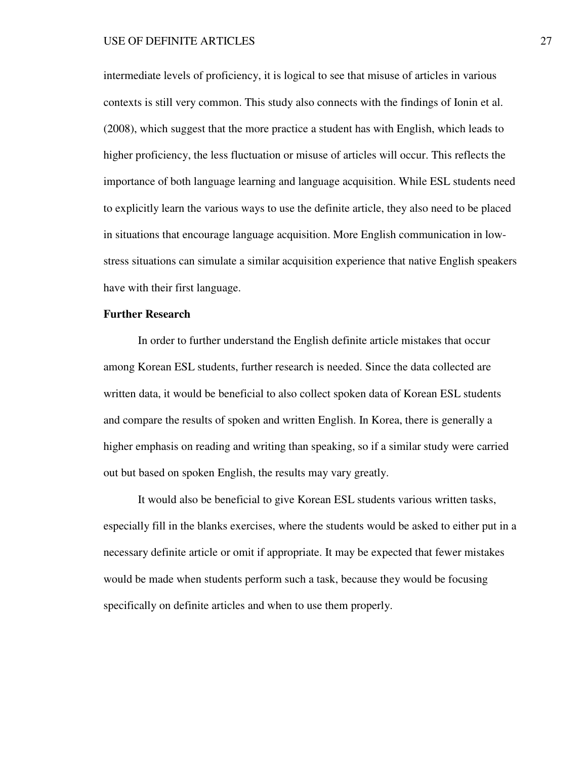intermediate levels of proficiency, it is logical to see that misuse of articles in various contexts is still very common. This study also connects with the findings of Ionin et al. (2008), which suggest that the more practice a student has with English, which leads to higher proficiency, the less fluctuation or misuse of articles will occur. This reflects the importance of both language learning and language acquisition. While ESL students need to explicitly learn the various ways to use the definite article, they also need to be placed in situations that encourage language acquisition. More English communication in lowstress situations can simulate a similar acquisition experience that native English speakers have with their first language.

# **Further Research**

 In order to further understand the English definite article mistakes that occur among Korean ESL students, further research is needed. Since the data collected are written data, it would be beneficial to also collect spoken data of Korean ESL students and compare the results of spoken and written English. In Korea, there is generally a higher emphasis on reading and writing than speaking, so if a similar study were carried out but based on spoken English, the results may vary greatly.

 It would also be beneficial to give Korean ESL students various written tasks, especially fill in the blanks exercises, where the students would be asked to either put in a necessary definite article or omit if appropriate. It may be expected that fewer mistakes would be made when students perform such a task, because they would be focusing specifically on definite articles and when to use them properly.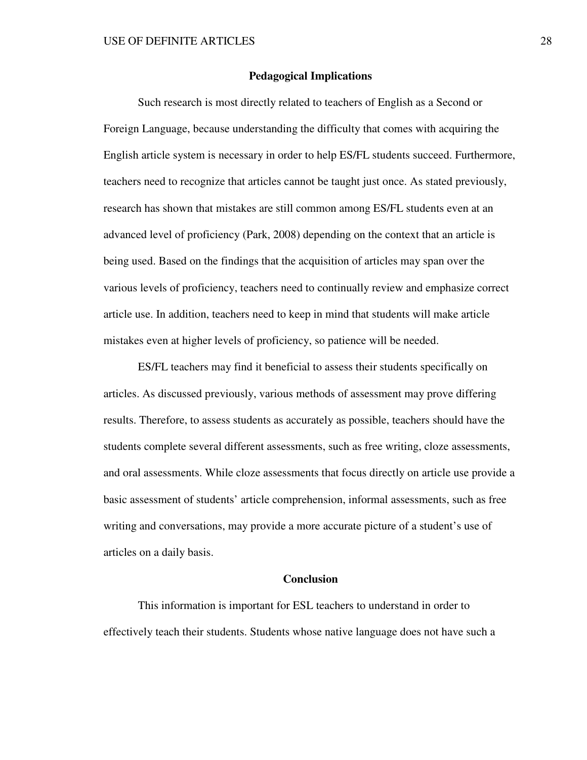# **Pedagogical Implications**

 Such research is most directly related to teachers of English as a Second or Foreign Language, because understanding the difficulty that comes with acquiring the English article system is necessary in order to help ES/FL students succeed. Furthermore, teachers need to recognize that articles cannot be taught just once. As stated previously, research has shown that mistakes are still common among ES/FL students even at an advanced level of proficiency (Park, 2008) depending on the context that an article is being used. Based on the findings that the acquisition of articles may span over the various levels of proficiency, teachers need to continually review and emphasize correct article use. In addition, teachers need to keep in mind that students will make article mistakes even at higher levels of proficiency, so patience will be needed.

ES/FL teachers may find it beneficial to assess their students specifically on articles. As discussed previously, various methods of assessment may prove differing results. Therefore, to assess students as accurately as possible, teachers should have the students complete several different assessments, such as free writing, cloze assessments, and oral assessments. While cloze assessments that focus directly on article use provide a basic assessment of students' article comprehension, informal assessments, such as free writing and conversations, may provide a more accurate picture of a student's use of articles on a daily basis.

# **Conclusion**

 This information is important for ESL teachers to understand in order to effectively teach their students. Students whose native language does not have such a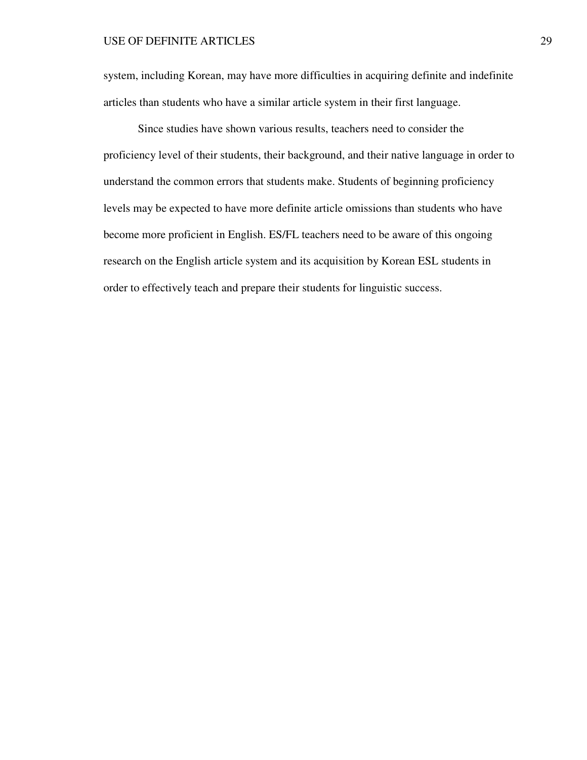system, including Korean, may have more difficulties in acquiring definite and indefinite articles than students who have a similar article system in their first language.

Since studies have shown various results, teachers need to consider the proficiency level of their students, their background, and their native language in order to understand the common errors that students make. Students of beginning proficiency levels may be expected to have more definite article omissions than students who have become more proficient in English. ES/FL teachers need to be aware of this ongoing research on the English article system and its acquisition by Korean ESL students in order to effectively teach and prepare their students for linguistic success.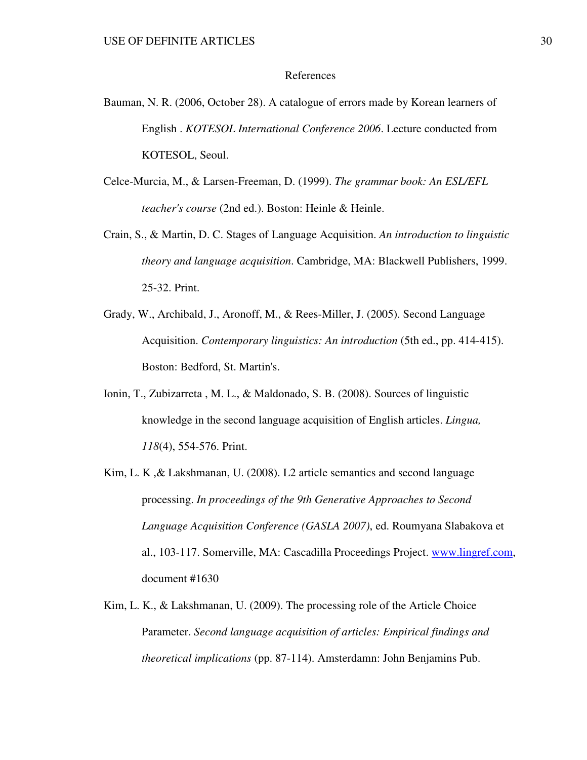### References

- Bauman, N. R. (2006, October 28). A catalogue of errors made by Korean learners of English . *KOTESOL International Conference 2006*. Lecture conducted from KOTESOL, Seoul.
- Celce-Murcia, M., & Larsen-Freeman, D. (1999). *The grammar book: An ESL/EFL teacher's course* (2nd ed.). Boston: Heinle & Heinle.
- Crain, S., & Martin, D. C. Stages of Language Acquisition. *An introduction to linguistic theory and language acquisition*. Cambridge, MA: Blackwell Publishers, 1999. 25-32. Print.
- Grady, W., Archibald, J., Aronoff, M., & Rees-Miller, J. (2005). Second Language Acquisition. *Contemporary linguistics: An introduction* (5th ed., pp. 414-415). Boston: Bedford, St. Martin's.
- Ionin, T., Zubizarreta , M. L., & Maldonado, S. B. (2008). Sources of linguistic knowledge in the second language acquisition of English articles. *Lingua, 118*(4), 554-576. Print.
- Kim, L. K ,& Lakshmanan, U. (2008). L2 article semantics and second language processing. *In proceedings of the 9th Generative Approaches to Second Language Acquisition Conference (GASLA 2007)*, ed. Roumyana Slabakova et al., 103-117. Somerville, MA: Cascadilla Proceedings Project. www.lingref.com, document #1630
- Kim, L. K., & Lakshmanan, U. (2009). The processing role of the Article Choice Parameter. *Second language acquisition of articles: Empirical findings and theoretical implications* (pp. 87-114). Amsterdamn: John Benjamins Pub.